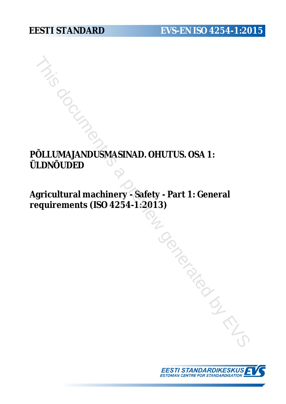# **EESTI STANDARD EVS-EN ISO 4254-1:2015**

# **PÕLLUMAJANDUSMASINAD. OHUTUS. OSA 1: ÜLDNÕUDED**

**Agricultural machinery - Safety - Part 1: General requirements (ISO 4254-1:2013)** The Continuous Massivan Conductus, OSA 1:<br>
UDNOUDED<br>
(gricultural machinery - Safety - Part 1: General<br>
equirements (ISO 4254-1:2013)<br>
(Conduction of the Conduction of Conduction of Conduction of Conduction of Conduction o

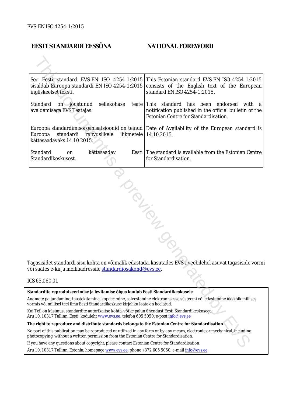## **EESTI STANDARDI EESSÕNA NATIONAL FOREWORD**

| See Eesti standard EVS-EN ISO 4254-1:2015<br>This Estonian standard EVS-EN ISO 4254-1:2015<br>sisaldab Euroopa standardi EN ISO 4254-1:2015 consists of the English text of the European<br>standard EN ISO 4254-1:2015.<br>ingliskeelset teksti. |  |  |  |  |  |  |
|---------------------------------------------------------------------------------------------------------------------------------------------------------------------------------------------------------------------------------------------------|--|--|--|--|--|--|
| Standard<br>sellekohase<br>on jõustunud<br>teate This standard has been endorsed<br>with a<br>notification published in the official bulletin of the<br>avaldamisega EVS Teatajas.<br>Estonian Centre for Standardisation.                        |  |  |  |  |  |  |
| Euroopa standardimisorganisatsioonid on teinud   Date of Availability of the European standard is<br>Euroopa<br>standardi<br>rahvuslikele<br>liikmetele<br>14.10.2015.<br>kättesaadavaks 14.10.2015.                                              |  |  |  |  |  |  |
| Standard<br>kättesaadav<br>Eesti The standard is available from the Estonian Centre<br>on<br>Standardikeskusest.<br>for Standardisation.                                                                                                          |  |  |  |  |  |  |
| Tagasisidet standardi sisu kohta on võimalik edastada, kasutades EVS-i veebilehel asuvat tagasiside vormi<br>või saates e-kirja meiliaadressile <u>standardiosakond@evs.ee</u> .                                                                  |  |  |  |  |  |  |
| ICS 65.060.01                                                                                                                                                                                                                                     |  |  |  |  |  |  |
| Standardite reprodutseerimise ja levitamise õigus kuulub Eesti Standardikeskusele                                                                                                                                                                 |  |  |  |  |  |  |
| Andmete paljundamine, taastekitamine, kopeerimine, salvestamine elektroonsesse süsteemi või edastamine ükskõik millises<br>vormis või millisel teel ilma Eesti Standardikeskuse kirjaliku loata on keelatud.                                      |  |  |  |  |  |  |
| Kui Teil on küsimusi standardite autorikaitse kohta, võtke palun ühendust Eesti Standardikeskusega:<br>Aru 10, 10317 Tallinn, Eesti; koduleht www.evs.ee; telefon 605 5050; e-post info@evs.ee                                                    |  |  |  |  |  |  |
| The right to reproduce and distribute standards belongs to the Estonian Centre for Standardisation                                                                                                                                                |  |  |  |  |  |  |
| No part of this publication may be reproduced or utilized in any form or by any means, electronic or mechanical, including<br>photocopying, without a written permission from the Estonian Centre for Standardisation.                            |  |  |  |  |  |  |
| If you have any questions about copyright, please contact Estonian Centre for Standardisation:                                                                                                                                                    |  |  |  |  |  |  |
|                                                                                                                                                                                                                                                   |  |  |  |  |  |  |

### ICS 65.060.01

Aru 10, 10317 Tallinn, Estonia; homepage [www.evs.ee](http://www.evs.ee/); phone +372 605 5050; e-mail info@evs.ee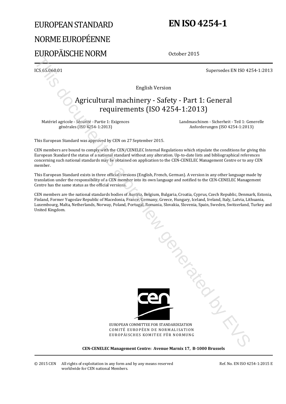# EUROPEAN STANDARD NORME EUROPÉENNE EUROPÄISCHE NORM

# **EN ISO 4254-1**

October 2015

ICS 65.060.01 Supersedes EN ISO 4254-1:2013

English Version

# Agricultural machinery - Safety - Part 1: General requirements (ISO 4254-1:2013)

Matériel agricole - Sécurité - Partie 1: Exigences générales (ISO 4254-1:2013)

 Landmaschinen - Sicherheit - Teil 1: Generelle Anforderungen (ISO 4254-1:2013)

This European Standard was approved by CEN on 27 September 2015.

CEN members are bound to comply with the CEN/CENELEC Internal Regulations which stipulate the conditions for giving this European Standard the status of a national standard without any alteration. Up-to-date lists and bibliographical references concerning such national standards may be obtained on application to the CEN-CENELEC Management Centre or to any CEN member.

This European Standard exists in three official versions (English, French, German). A version in any other language made by translation under the responsibility of a CEN member into its own language and notified to the CEN-CENELEC Management Centre has the same status as the official versions.

CEN members are the national standards bodies of Austria, Belgium, Bulgaria, Croatia, Cyprus, Czech Republic, Denmark, Estonia, Finland, Former Yugoslav Republic of Macedonia, France, Germany, Greece, Hungary, Iceland, Ireland, Italy, Latvia, Lithuania, Luxembourg, Malta, Netherlands, Norway, Poland, Portugal, Romania, Slovakia, Slovenia, Spain, Sweden, Switzerland, Turkey and United Kingdom.



EUROPEAN COMMITTEE FOR STANDARDIZATION COMITÉ EUROPÉEN DE NORMALISATION EUROPÄISCHES KOMITEE FÜR NORMUNG

**CEN-CENELEC Management Centre: Avenue Marnix 17, B-1000 Brussels**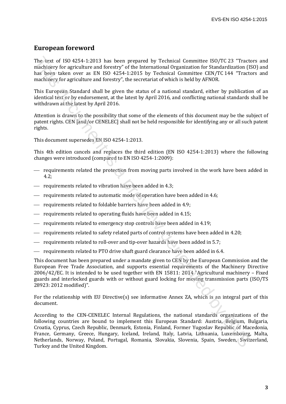### **European foreword**

The text of ISO 4254-1:2013 has been prepared by Technical Committee ISO/TC 23 "Tractors and machinery for agriculture and forestry" of the International Organization for Standardization (ISO) and has been taken over as EN ISO 4254-1:2015 by Technical Committee CEN/TC 144 "Tractors and machinery for agriculture and forestry", the secretariat of which is held by AFNOR.

This European Standard shall be given the status of a national standard, either by publication of an identical text or by endorsement, at the latest by April 2016, and conflicting national standards shall be withdrawn at the latest by April 2016.

Attention is drawn to the possibility that some of the elements of this document may be the subject of patent rights. CEN [and/or CENELEC] shall not be held responsible for identifying any or all such patent rights.

This document supersedes EN ISO 4254-1:2013.

This 4th edition cancels and replaces the third edition (EN ISO 4254-1:2013) where the following changes were introduced (compared to EN ISO 4254-1:2009):

- requirements related the protection from moving parts involved in the work have been added in 4.2;
- requirements related to vibration have been added in 4.3;
- requirements related to automatic mode of operation have been added in 4.6;
- requirements related to foldable barriers have been added in 4.9;
- requirements related to operating fluids have been added in 4.15;
- $-$  requirements related to emergency stop controls have been added in 4.19;
- requirements related to safety related parts of control systems have been added in 4.20;
- requirements related to roll-over and tip-over hazards have been added in 5.7;
- requirements related to PTO drive shaft guard clearance have been added in 6.4.

This document has been prepared under a mandate given to CEN by the European Commission and the European Free Trade Association, and supports essential requirements of the Machinery Directive 2006/42/EC. It is intended to be used together with EN 15811: 2014 "Agricultural machinery – Fixed guards and interlocked guards with or without guard locking for moving transmission parts (ISO/TS 28923: 2012 modified)".

For the relationship with EU Directive(s) see informative Annex ZA, which is an integral part of this document.

According to the CEN-CENELEC Internal Regulations, the national standards organizations of the following countries are bound to implement this European Standard: Austria, Belgium, Bulgaria, Croatia, Cyprus, Czech Republic, Denmark, Estonia, Finland, Former Yugoslav Republic of Macedonia, France, Germany, Greece, Hungary, Iceland, Ireland, Italy, Latvia, Lithuania, Luxembourg, Malta, Netherlands, Norway, Poland, Portugal, Romania, Slovakia, Slovenia, Spain, Sweden, Switzerland, Turkey and the United Kingdom. The text of 1500-4254-1:2011) has been propared by Technical Committee ISO/TC23 Tracking<br>Worshingty for agriculture and forestry' of the International Organization (FS conditation)<br>This document is a FM ISO 4254-1:2015 by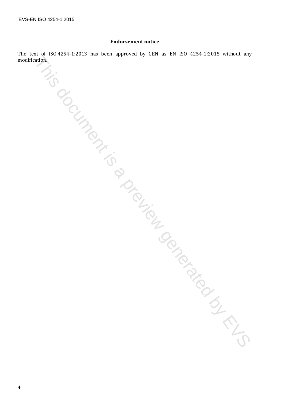#### **Endorsement notice**

The text of ISO 4254-1:2013 has been approved by CEN as EN ISO 4254-1:2015 without any many Mission. This a previous comparation is a previous of the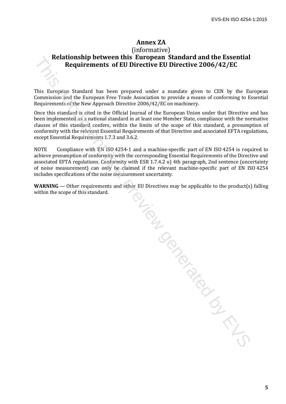## **Annex ZA**

## (informative) **Relationship between this European Standard and the Essential Requirements of EU Directive EU Directive 2006/42/EC**

This European Standard has been prepared under a mandate given to CEN by the European Commission and the European Free Trade Association to provide a means of conforming to Essential Requirements of the New Approach Directive 2006/42/EC on machinery.

Once this standard is cited in the Official Journal of the European Union under that Directive and has been implemented as a national standard in at least one Member State, compliance with the normative clauses of this standard confers, within the limits of the scope of this standard, a presumption of conformity with the relevant Essential Requirements of that Directive and associated EFTA regulations, except Essential Requirements 1.7.3 and 3.6.2.

NOTE Compliance with EN ISO 4254-1 and a machine-specific part of EN ISO 4254 is required to achieve presumption of conformity with the corresponding Essential Requirements of the Directive and associated EFTA regulations. Conformity with ESR 1.7.4.2 u) 4th paragraph, 2nd sentence (uncertainty of noise measurement) can only be claimed if the relevant machine-specific part of EN ISO 4254 includes specifications of the noise measurement uncertainty.

**WARNING** — Other requirements and other EU Directives may be applicable to the product(s) falling within the scope of this standard.

THE CONSCRIPTION OF CREW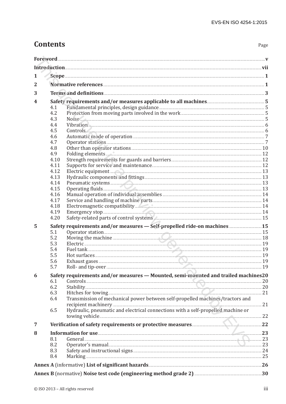# **Contents**

| 1<br>2<br>3<br>4<br>4.1<br>4.2<br>4.3<br>4.4<br>4.5<br>4.6<br>4.7<br>4.8<br>4.9<br>4.10<br>4.11<br>4.12<br>4.13<br>4.14<br>4.15<br>4.16<br>4.17<br>4.18<br>4.19<br>4.20<br>5<br>5.1<br>5.2<br>5.3<br>5.4<br>5.5<br>5.6<br>5.7<br>6<br>6.1<br>6.2<br>6.3<br>Transmission of mechanical power between self-propelled machines/tractors and<br>6.4<br>Hydraulic, pneumatic and electrical connections with a self-propelled machine or<br>6.5<br>7<br>8<br>8.1<br>Ceneral 23<br>8.2<br>8.3<br>8.4<br>Annex A (informative) List of significant hazards [11] and the context of significant hazards [11] Annex A (informative) List of significant hazards [11] and the context of significant $26$                                                                                                                                   |  |  |  |  |  |  |
|-----------------------------------------------------------------------------------------------------------------------------------------------------------------------------------------------------------------------------------------------------------------------------------------------------------------------------------------------------------------------------------------------------------------------------------------------------------------------------------------------------------------------------------------------------------------------------------------------------------------------------------------------------------------------------------------------------------------------------------------------------------------------------------------------------------------------------------|--|--|--|--|--|--|
|                                                                                                                                                                                                                                                                                                                                                                                                                                                                                                                                                                                                                                                                                                                                                                                                                                   |  |  |  |  |  |  |
| Noise <u>Communications</u> 5<br>Vibration 6 (1996) 6 (1997) 6 (1998) 7 (1998) 7 (1998) 7 (1998) 7 (1998) 7 (1998) 7 (1998) 7 (1998) 7 (1998) 7<br>$\text{Controls}$ 6<br>Electric equipment 23<br>Pneumatic systems 13<br>Operating fluids <b>Exercise Contract of the Contract of the Contract of the Contract of the Contract of the Contract of the Contract of the Contract of the Contract of the Contract of the Contract of the Contract of the Con</b><br>Safety-related parts of control systems. 2000 million and the state of the 15<br>Safety requirements and/or measures - Self-propelled ride-on machines  15<br>Moving the machine <b>Commission Commission</b> 28<br>Electric 19<br>Safety requirements and/or measures - Mounted, semi-mounted and trailed machines20<br>Controls 20<br>Information for use 23 |  |  |  |  |  |  |
|                                                                                                                                                                                                                                                                                                                                                                                                                                                                                                                                                                                                                                                                                                                                                                                                                                   |  |  |  |  |  |  |
|                                                                                                                                                                                                                                                                                                                                                                                                                                                                                                                                                                                                                                                                                                                                                                                                                                   |  |  |  |  |  |  |
|                                                                                                                                                                                                                                                                                                                                                                                                                                                                                                                                                                                                                                                                                                                                                                                                                                   |  |  |  |  |  |  |
|                                                                                                                                                                                                                                                                                                                                                                                                                                                                                                                                                                                                                                                                                                                                                                                                                                   |  |  |  |  |  |  |
|                                                                                                                                                                                                                                                                                                                                                                                                                                                                                                                                                                                                                                                                                                                                                                                                                                   |  |  |  |  |  |  |
|                                                                                                                                                                                                                                                                                                                                                                                                                                                                                                                                                                                                                                                                                                                                                                                                                                   |  |  |  |  |  |  |
|                                                                                                                                                                                                                                                                                                                                                                                                                                                                                                                                                                                                                                                                                                                                                                                                                                   |  |  |  |  |  |  |
|                                                                                                                                                                                                                                                                                                                                                                                                                                                                                                                                                                                                                                                                                                                                                                                                                                   |  |  |  |  |  |  |
|                                                                                                                                                                                                                                                                                                                                                                                                                                                                                                                                                                                                                                                                                                                                                                                                                                   |  |  |  |  |  |  |
|                                                                                                                                                                                                                                                                                                                                                                                                                                                                                                                                                                                                                                                                                                                                                                                                                                   |  |  |  |  |  |  |
|                                                                                                                                                                                                                                                                                                                                                                                                                                                                                                                                                                                                                                                                                                                                                                                                                                   |  |  |  |  |  |  |
|                                                                                                                                                                                                                                                                                                                                                                                                                                                                                                                                                                                                                                                                                                                                                                                                                                   |  |  |  |  |  |  |
|                                                                                                                                                                                                                                                                                                                                                                                                                                                                                                                                                                                                                                                                                                                                                                                                                                   |  |  |  |  |  |  |
|                                                                                                                                                                                                                                                                                                                                                                                                                                                                                                                                                                                                                                                                                                                                                                                                                                   |  |  |  |  |  |  |
|                                                                                                                                                                                                                                                                                                                                                                                                                                                                                                                                                                                                                                                                                                                                                                                                                                   |  |  |  |  |  |  |
|                                                                                                                                                                                                                                                                                                                                                                                                                                                                                                                                                                                                                                                                                                                                                                                                                                   |  |  |  |  |  |  |
|                                                                                                                                                                                                                                                                                                                                                                                                                                                                                                                                                                                                                                                                                                                                                                                                                                   |  |  |  |  |  |  |
|                                                                                                                                                                                                                                                                                                                                                                                                                                                                                                                                                                                                                                                                                                                                                                                                                                   |  |  |  |  |  |  |
|                                                                                                                                                                                                                                                                                                                                                                                                                                                                                                                                                                                                                                                                                                                                                                                                                                   |  |  |  |  |  |  |
|                                                                                                                                                                                                                                                                                                                                                                                                                                                                                                                                                                                                                                                                                                                                                                                                                                   |  |  |  |  |  |  |
|                                                                                                                                                                                                                                                                                                                                                                                                                                                                                                                                                                                                                                                                                                                                                                                                                                   |  |  |  |  |  |  |
|                                                                                                                                                                                                                                                                                                                                                                                                                                                                                                                                                                                                                                                                                                                                                                                                                                   |  |  |  |  |  |  |
|                                                                                                                                                                                                                                                                                                                                                                                                                                                                                                                                                                                                                                                                                                                                                                                                                                   |  |  |  |  |  |  |
|                                                                                                                                                                                                                                                                                                                                                                                                                                                                                                                                                                                                                                                                                                                                                                                                                                   |  |  |  |  |  |  |
|                                                                                                                                                                                                                                                                                                                                                                                                                                                                                                                                                                                                                                                                                                                                                                                                                                   |  |  |  |  |  |  |
|                                                                                                                                                                                                                                                                                                                                                                                                                                                                                                                                                                                                                                                                                                                                                                                                                                   |  |  |  |  |  |  |
|                                                                                                                                                                                                                                                                                                                                                                                                                                                                                                                                                                                                                                                                                                                                                                                                                                   |  |  |  |  |  |  |
|                                                                                                                                                                                                                                                                                                                                                                                                                                                                                                                                                                                                                                                                                                                                                                                                                                   |  |  |  |  |  |  |
|                                                                                                                                                                                                                                                                                                                                                                                                                                                                                                                                                                                                                                                                                                                                                                                                                                   |  |  |  |  |  |  |
|                                                                                                                                                                                                                                                                                                                                                                                                                                                                                                                                                                                                                                                                                                                                                                                                                                   |  |  |  |  |  |  |
|                                                                                                                                                                                                                                                                                                                                                                                                                                                                                                                                                                                                                                                                                                                                                                                                                                   |  |  |  |  |  |  |
|                                                                                                                                                                                                                                                                                                                                                                                                                                                                                                                                                                                                                                                                                                                                                                                                                                   |  |  |  |  |  |  |
|                                                                                                                                                                                                                                                                                                                                                                                                                                                                                                                                                                                                                                                                                                                                                                                                                                   |  |  |  |  |  |  |
|                                                                                                                                                                                                                                                                                                                                                                                                                                                                                                                                                                                                                                                                                                                                                                                                                                   |  |  |  |  |  |  |
|                                                                                                                                                                                                                                                                                                                                                                                                                                                                                                                                                                                                                                                                                                                                                                                                                                   |  |  |  |  |  |  |
|                                                                                                                                                                                                                                                                                                                                                                                                                                                                                                                                                                                                                                                                                                                                                                                                                                   |  |  |  |  |  |  |
|                                                                                                                                                                                                                                                                                                                                                                                                                                                                                                                                                                                                                                                                                                                                                                                                                                   |  |  |  |  |  |  |
|                                                                                                                                                                                                                                                                                                                                                                                                                                                                                                                                                                                                                                                                                                                                                                                                                                   |  |  |  |  |  |  |
|                                                                                                                                                                                                                                                                                                                                                                                                                                                                                                                                                                                                                                                                                                                                                                                                                                   |  |  |  |  |  |  |
|                                                                                                                                                                                                                                                                                                                                                                                                                                                                                                                                                                                                                                                                                                                                                                                                                                   |  |  |  |  |  |  |
|                                                                                                                                                                                                                                                                                                                                                                                                                                                                                                                                                                                                                                                                                                                                                                                                                                   |  |  |  |  |  |  |
|                                                                                                                                                                                                                                                                                                                                                                                                                                                                                                                                                                                                                                                                                                                                                                                                                                   |  |  |  |  |  |  |
|                                                                                                                                                                                                                                                                                                                                                                                                                                                                                                                                                                                                                                                                                                                                                                                                                                   |  |  |  |  |  |  |
|                                                                                                                                                                                                                                                                                                                                                                                                                                                                                                                                                                                                                                                                                                                                                                                                                                   |  |  |  |  |  |  |
|                                                                                                                                                                                                                                                                                                                                                                                                                                                                                                                                                                                                                                                                                                                                                                                                                                   |  |  |  |  |  |  |
|                                                                                                                                                                                                                                                                                                                                                                                                                                                                                                                                                                                                                                                                                                                                                                                                                                   |  |  |  |  |  |  |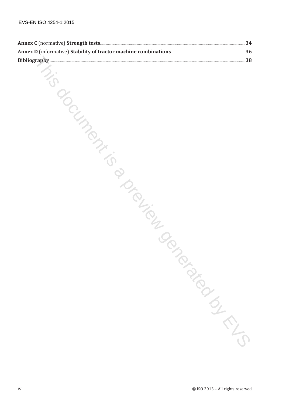| EVS-EN ISO 4254-1:2015 |                                  |
|------------------------|----------------------------------|
|                        |                                  |
|                        |                                  |
|                        |                                  |
|                        |                                  |
|                        |                                  |
|                        |                                  |
| Younger                |                                  |
|                        |                                  |
|                        |                                  |
|                        |                                  |
|                        |                                  |
|                        |                                  |
|                        |                                  |
|                        |                                  |
|                        |                                  |
|                        |                                  |
|                        |                                  |
|                        |                                  |
| <b>PIOLIPED</b>        |                                  |
|                        |                                  |
|                        |                                  |
|                        |                                  |
|                        |                                  |
|                        |                                  |
|                        | IP TON BIG                       |
|                        |                                  |
|                        |                                  |
|                        |                                  |
|                        |                                  |
|                        |                                  |
|                        |                                  |
|                        |                                  |
|                        |                                  |
|                        |                                  |
|                        |                                  |
|                        |                                  |
|                        |                                  |
|                        |                                  |
| iv                     | © ISO 2013 - All rights reserved |
|                        |                                  |